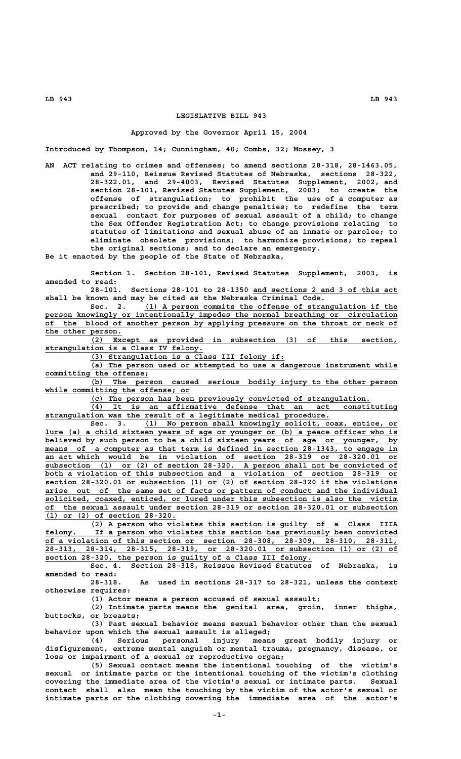## **LEGISLATIVE BILL 943**

## **Approved by the Governor April 15, 2004**

**Introduced by Thompson, 14; Cunningham, 40; Combs, 32; Mossey, 3**

**AN ACT relating to crimes and offenses; to amend sections 28-318, 28-1463.05, and 29-110, Reissue Revised Statutes of Nebraska, sections 28-322, 28-322.01, and 29-4003, Revised Statutes Supplement, 2002, and section 28-101, Revised Statutes Supplement, 2003; to create the offense of strangulation; to prohibit the use of a computer as prescribed; to provide and change penalties; to redefine the term sexual contact for purposes of sexual assault of a child; to change the Sex Offender Registration Act; to change provisions relating to statutes of limitations and sexual abuse of an inmate or parolee; to eliminate obsolete provisions; to harmonize provisions; to repeal the original sections; and to declare an emergency.**

**Be it enacted by the people of the State of Nebraska,**

**Section 1. Section 28-101, Revised Statutes Supplement, 2003, is amended to read:**

**28-101. Sections 28-101 to 28-1350 and sections 2 and 3 of this act \_\_\_\_\_\_\_\_\_\_\_\_\_\_\_\_\_\_\_\_\_\_\_\_\_\_\_\_\_\_\_\_ shall be known and may be cited as the Nebraska Criminal Code.**

Sec. 2. (1) A person commits the offense of strangulation if the  **\_\_\_\_\_\_\_\_\_\_\_\_\_\_\_\_\_\_\_\_\_\_\_\_\_\_\_\_\_\_\_\_\_\_\_\_\_\_\_\_\_\_\_\_\_\_\_\_\_\_\_\_\_\_\_\_\_\_\_\_\_\_\_\_\_\_\_\_\_\_\_\_\_\_\_\_\_\_ person knowingly or intentionally impedes the normal breathing or circulation \_\_\_\_\_\_\_\_\_\_\_\_\_\_\_\_\_\_\_\_\_\_\_\_\_\_\_\_\_\_\_\_\_\_\_\_\_\_\_\_\_\_\_\_\_\_\_\_\_\_\_\_\_\_\_\_\_\_\_\_\_\_\_\_\_\_\_\_\_\_\_\_\_\_\_\_\_\_ of the blood of another person by applying pressure on the throat or neck of \_\_\_\_\_\_\_\_\_\_\_\_\_\_\_\_\_ the other person.**

 **\_\_\_\_\_\_\_\_\_\_\_\_\_\_\_\_\_\_\_\_\_\_\_\_\_\_\_\_\_\_\_\_\_\_\_\_\_\_\_\_\_\_\_\_\_\_\_\_\_\_\_\_\_\_\_\_\_\_\_\_\_\_\_\_\_\_\_\_ (2) Except as provided in subsection (3) of this section, \_\_\_\_\_\_\_\_\_\_\_\_\_\_\_\_\_\_\_\_\_\_\_\_\_\_\_\_\_\_\_\_\_\_\_ strangulation is a Class IV felony.**

 **\_\_\_\_\_\_\_\_\_\_\_\_\_\_\_\_\_\_\_\_\_\_\_\_\_\_\_\_\_\_\_\_\_\_\_\_\_\_\_\_\_\_\_ (3) Strangulation is a Class III felony if:**

 **\_\_\_\_\_\_\_\_\_\_\_\_\_\_\_\_\_\_\_\_\_\_\_\_\_\_\_\_\_\_\_\_\_\_\_\_\_\_\_\_\_\_\_\_\_\_\_\_\_\_\_\_\_\_\_\_\_\_\_\_\_\_\_\_\_\_\_\_ (a) The person used or attempted to use a dangerous instrument while \_\_\_\_\_\_\_\_\_\_\_\_\_\_\_\_\_\_\_\_\_\_\_ committing the offense;**

 **\_\_\_\_\_\_\_\_\_\_\_\_\_\_\_\_\_\_\_\_\_\_\_\_\_\_\_\_\_\_\_\_\_\_\_\_\_\_\_\_\_\_\_\_\_\_\_\_\_\_\_\_\_\_\_\_\_\_\_\_\_\_\_\_\_\_\_\_ (b) The person caused serious bodily injury to the other person** while committing the offense; or

 **\_\_\_\_\_\_\_\_\_\_\_\_\_\_\_\_\_\_\_\_\_\_\_\_\_\_\_\_\_\_\_\_\_\_\_\_\_\_\_\_\_\_\_\_\_\_\_\_\_\_\_\_\_\_\_\_\_\_\_\_\_\_ (c) The person has been previously convicted of strangulation.**

 **\_\_\_\_\_\_\_\_\_\_\_\_\_\_\_\_\_\_\_\_\_\_\_\_\_\_\_\_\_\_\_\_\_\_\_\_\_\_\_\_\_\_\_\_\_\_\_\_\_\_\_\_\_\_\_\_\_\_\_\_\_\_\_\_\_\_\_\_ (4) It is an affirmative defense that an act constituting \_\_\_\_\_\_\_\_\_\_\_\_\_\_\_\_\_\_\_\_\_\_\_\_\_\_\_\_\_\_\_\_\_\_\_\_\_\_\_\_\_\_\_\_\_\_\_\_\_\_\_\_\_\_\_\_\_\_\_\_\_\_\_ strangulation was the result of a legitimate medical procedure.**

Sec. 3. (1) No person shall knowingly solicit, coax, entice, or lure (a) a child sixteen years of age or younger or (b) a peace officer who is **believed by such person to be a child sixteen years of age or younger, by**<br>believed by such person to be a child sixteen years of age or younger, by  **\_\_\_\_\_\_\_\_\_\_\_\_\_\_\_\_\_\_\_\_\_\_\_\_\_\_\_\_\_\_\_\_\_\_\_\_\_\_\_\_\_\_\_\_\_\_\_\_\_\_\_\_\_\_\_\_\_\_\_\_\_\_\_\_\_\_\_\_\_\_\_\_\_\_\_\_\_\_ means of a computer as that term is defined in section 28-1343, to engage in \_\_\_\_\_\_\_\_\_\_\_\_\_\_\_\_\_\_\_\_\_\_\_\_\_\_\_\_\_\_\_\_\_\_\_\_\_\_\_\_\_\_\_\_\_\_\_\_\_\_\_\_\_\_\_\_\_\_\_\_\_\_\_\_\_\_\_\_\_\_\_\_\_\_\_\_\_\_ an act which would be in violation of section 28-319 or 28-320.01 or \_\_\_\_\_\_\_\_\_\_\_\_\_\_\_\_\_\_\_\_\_\_\_\_\_\_\_\_\_\_\_\_\_\_\_\_\_\_\_\_\_\_\_\_\_\_\_\_\_\_\_\_\_\_\_\_\_\_\_\_\_\_\_\_\_\_\_\_\_\_\_\_\_\_\_\_\_\_ subsection (1) or (2) of section 28-320. A person shall not be convicted of \_\_\_\_\_\_\_\_\_\_\_\_\_\_\_\_\_\_\_\_\_\_\_\_\_\_\_\_\_\_\_\_\_\_\_\_\_\_\_\_\_\_\_\_\_\_\_\_\_\_\_\_\_\_\_\_\_\_\_\_\_\_\_\_\_\_\_\_\_\_\_\_\_\_\_\_\_\_ both a violation of this subsection and a violation of section 28-319 or \_\_\_\_\_\_\_\_\_\_\_\_\_\_\_\_\_\_\_\_\_\_\_\_\_\_\_\_\_\_\_\_\_\_\_\_\_\_\_\_\_\_\_\_\_\_\_\_\_\_\_\_\_\_\_\_\_\_\_\_\_\_\_\_\_\_\_\_\_\_\_\_\_\_\_\_\_\_ section 28-320.01 or subsection (1) or (2) of section 28-320 if the violations \_\_\_\_\_\_\_\_\_\_\_\_\_\_\_\_\_\_\_\_\_\_\_\_\_\_\_\_\_\_\_\_\_\_\_\_\_\_\_\_\_\_\_\_\_\_\_\_\_\_\_\_\_\_\_\_\_\_\_\_\_\_\_\_\_\_\_\_\_\_\_\_\_\_\_\_\_\_ arise out of the same set of facts or pattern of conduct and the individual \_\_\_\_\_\_\_\_\_\_\_\_\_\_\_\_\_\_\_\_\_\_\_\_\_\_\_\_\_\_\_\_\_\_\_\_\_\_\_\_\_\_\_\_\_\_\_\_\_\_\_\_\_\_\_\_\_\_\_\_\_\_\_\_\_\_\_\_\_\_\_\_\_\_\_\_\_\_ solicited, coaxed, enticed, or lured under this subsection is also the victim \_\_\_\_\_\_\_\_\_\_\_\_\_\_\_\_\_\_\_\_\_\_\_\_\_\_\_\_\_\_\_\_\_\_\_\_\_\_\_\_\_\_\_\_\_\_\_\_\_\_\_\_\_\_\_\_\_\_\_\_\_\_\_\_\_\_\_\_\_\_\_\_\_\_\_\_\_\_ of the sexual assault under section 28-319 or section 28-320.01 or subsection \_\_\_\_\_\_\_\_\_\_\_\_\_\_\_\_\_\_\_\_\_\_\_\_\_\_\_\_\_ (1) or (2) of section 28-320.**

 **\_\_\_\_\_\_\_\_\_\_\_\_\_\_\_\_\_\_\_\_\_\_\_\_\_\_\_\_\_\_\_\_\_\_\_\_\_\_\_\_\_\_\_\_\_\_\_\_\_\_\_\_\_\_\_\_\_\_\_\_\_\_\_\_\_\_\_\_ (2) A person who violates this section is guilty of a Class IIIA \_\_\_\_\_\_\_\_\_\_\_\_\_\_\_\_\_\_\_\_\_\_\_\_\_\_\_\_\_\_\_\_\_\_\_\_\_\_\_\_\_\_\_\_\_\_\_\_\_\_\_\_\_\_\_\_\_\_\_\_\_\_\_\_\_\_\_\_\_\_\_\_\_\_\_\_\_\_ felony. If a person who violates this section has previously been convicted \_\_\_\_\_\_\_\_\_\_\_\_\_\_\_\_\_\_\_\_\_\_\_\_\_\_\_\_\_\_\_\_\_\_\_\_\_\_\_\_\_\_\_\_\_\_\_\_\_\_\_\_\_\_\_\_\_\_\_\_\_\_\_\_\_\_\_\_\_\_\_\_\_\_\_\_\_\_ of a violation of this section or section 28-308, 28-309, 28-310, 28-311, \_\_\_\_\_\_\_\_\_\_\_\_\_\_\_\_\_\_\_\_\_\_\_\_\_\_\_\_\_\_\_\_\_\_\_\_\_\_\_\_\_\_\_\_\_\_\_\_\_\_\_\_\_\_\_\_\_\_\_\_\_\_\_\_\_\_\_\_\_\_\_\_\_\_\_\_\_\_ 28-313, 28-314, 28-315, 28-319, or 28-320.01 or subsection (1) or (2) of \_\_\_\_\_\_\_\_\_\_\_\_\_\_\_\_\_\_\_\_\_\_\_\_\_\_\_\_\_\_\_\_\_\_\_\_\_\_\_\_\_\_\_\_\_\_\_\_\_\_\_\_\_\_\_\_\_\_\_ section 28-320, the person is guilty of a Class III felony.**

**Sec. 4. Section 28-318, Reissue Revised Statutes of Nebraska, is amended to read:**

**28-318. As used in sections 28-317 to 28-321, unless the context otherwise requires:**

**(1) Actor means a person accused of sexual assault;**

**(2) Intimate parts means the genital area, groin, inner thighs, buttocks, or breasts;**

**(3) Past sexual behavior means sexual behavior other than the sexual behavior upon which the sexual assault is alleged;**

**(4) Serious personal injury means great bodily injury or disfigurement, extreme mental anguish or mental trauma, pregnancy, disease, or loss or impairment of a sexual or reproductive organ;**

**(5) Sexual contact means the intentional touching of the victim's sexual or intimate parts or the intentional touching of the victim's clothing covering the immediate area of the victim's sexual or intimate parts. Sexual contact shall also mean the touching by the victim of the actor's sexual or intimate parts or the clothing covering the immediate area of the actor's**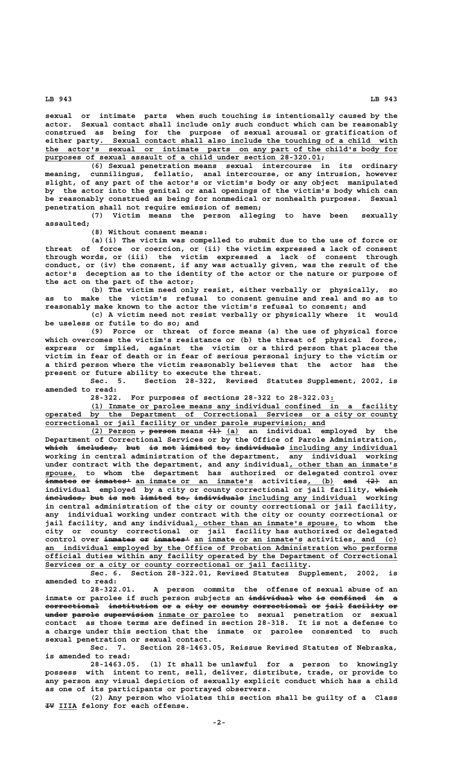**LB 943 LB 943**

**sexual or intimate parts when such touching is intentionally caused by the actor. Sexual contact shall include only such conduct which can be reasonably construed as being for the purpose of sexual arousal or gratification of \_\_\_\_\_\_\_\_\_\_\_\_\_\_\_\_\_\_\_\_\_\_\_\_\_\_\_\_\_\_\_\_\_\_\_\_\_\_\_\_\_\_\_\_\_\_\_\_\_\_\_\_\_\_\_\_\_\_\_\_\_\_\_\_\_\_ either party. Sexual contact shall also include the touching of a child with \_\_\_\_\_\_\_\_\_\_\_\_\_\_\_\_\_\_\_\_\_\_\_\_\_\_\_\_\_\_\_\_\_\_\_\_\_\_\_\_\_\_\_\_\_\_\_\_\_\_\_\_\_\_\_\_\_\_\_\_\_\_\_\_\_\_\_\_\_\_\_\_\_\_\_\_\_\_ the actor's sexual or intimate parts on any part of the child's body for \_\_\_\_\_\_\_\_\_\_\_\_\_\_\_\_\_\_\_\_\_\_\_\_\_\_\_\_\_\_\_\_\_\_\_\_\_\_\_\_\_\_\_\_\_\_\_\_\_\_\_\_\_\_\_\_\_\_\_\_\_ purposes of sexual assault of a child under section 28-320.01;**

**(6) Sexual penetration means sexual intercourse in its ordinary meaning, cunnilingus, fellatio, anal intercourse, or any intrusion, however slight, of any part of the actor's or victim's body or any object manipulated by the actor into the genital or anal openings of the victim's body which can be reasonably construed as being for nonmedical or nonhealth purposes. Sexual penetration shall not require emission of semen;**

**(7) Victim means the person alleging to have been sexually assaulted;**

**(8) Without consent means:**

**(a)(i) The victim was compelled to submit due to the use of force or threat of force or coercion, or (ii) the victim expressed a lack of consent through words, or (iii) the victim expressed a lack of consent through conduct, or (iv) the consent, if any was actually given, was the result of the actor's deception as to the identity of the actor or the nature or purpose of the act on the part of the actor;**

**(b) The victim need only resist, either verbally or physically, so as to make the victim's refusal to consent genuine and real and so as to reasonably make known to the actor the victim's refusal to consent; and**

**(c) A victim need not resist verbally or physically where it would be useless or futile to do so; and**

**(9) Force or threat of force means (a) the use of physical force which overcomes the victim's resistance or (b) the threat of physical force, express or implied, against the victim or a third person that places the victim in fear of death or in fear of serious personal injury to the victim or a third person where the victim reasonably believes that the actor has the present or future ability to execute the threat.**

**Sec. 5. Section 28-322, Revised Statutes Supplement, 2002, is amended to read:**

**28-322. For purposes of sections 28-322 to 28-322.03:\_**

 **\_\_\_\_\_\_\_\_\_\_\_\_\_\_\_\_\_\_\_\_\_\_\_\_\_\_\_\_\_\_\_\_\_\_\_\_\_\_\_\_\_\_\_\_\_\_\_\_\_\_\_\_\_\_\_\_\_\_\_\_\_\_\_\_\_\_\_\_ (1) Inmate or parolee means any individual confined in a facility operated by the Department of Correctional Services or a city or county \_\_\_\_\_\_\_\_\_\_\_\_\_\_\_\_\_\_\_\_\_\_\_\_\_\_\_\_\_\_\_\_\_\_\_\_\_\_\_\_\_\_\_\_\_\_\_\_\_\_\_\_\_\_\_\_\_\_\_\_\_\_ correctional or jail facility or under parole supervision; and**

**(2) Person**  $\tau$  person means  $\left(1\right)$  (a) an individual employed by the **Department of Correctional Services or by the Office of Parole Administration,** which includes, but is not limited to, individuals including any individual **working in central administration of the department, any individual working** under contract with the department, and any individual, other than an inmate's **spouse,** to whom the department has authorized or delegated control over<br>inmates or inmates<sup>1</sup> an inmate or an inmate's activities, (b) <del>and (2)</del> an  $\overline{\text{im�ates}}}$  or  $\overline{\text{im} \text{ates}}$  an inmate or an inmate's activities, individual employed by a city or county correctional or jail facility, which  $i$ ncludes, but is not limited to, individuals including any individual working **in central administration of the city or county correctional or jail facility, any individual working under contract with the city or county correctional or \_\_\_\_\_\_\_\_\_\_\_\_\_\_\_\_\_\_\_\_\_\_\_\_\_\_\_\_\_\_\_\_ jail facility, and any individual, other than an inmate's spouse, to whom the city or county correctional or jail facility has authorized or delegated** control over <del>inmates or inmates'</del> an inmate or an inmate's activities, and (c)  **\_\_\_\_\_\_\_\_\_\_\_\_\_\_\_\_\_\_\_\_\_\_\_\_\_\_\_\_\_\_\_\_\_\_\_\_\_\_\_\_\_\_\_\_\_\_\_\_\_\_\_\_\_\_\_\_\_\_\_\_\_\_\_\_\_\_\_\_\_\_\_\_\_\_\_\_\_\_ an individual employed by the Office of Probation Administration who performs \_\_\_\_\_\_\_\_\_\_\_\_\_\_\_\_\_\_\_\_\_\_\_\_\_\_\_\_\_\_\_\_\_\_\_\_\_\_\_\_\_\_\_\_\_\_\_\_\_\_\_\_\_\_\_\_\_\_\_\_\_\_\_\_\_\_\_\_\_\_\_\_\_\_\_\_\_\_ official duties within any facility operated by the Department of Correctional** Services or a city or county correctional or jail facility.

**Sec. 6. Section 28-322.01, Revised Statutes Supplement, 2002, is amended to read:**

**28-322.01. A person commits the offense of sexual abuse of an** inmate or parolee if such person subjects an <del>individual who is confined</del> in a correctional institution or a city or county correctional or jail facility or **under parole supervision inmate or parolee to sexual penetration or sexual ————— —————— ——————————— \_\_\_\_\_\_\_\_\_\_\_\_\_\_\_\_\_ contact as those terms are defined in section 28-318. It is not a defense to a charge under this section that the inmate or parolee consented to such sexual penetration or sexual contact.**

**Sec. 7. Section 28-1463.05, Reissue Revised Statutes of Nebraska, is amended to read:**

**28-1463.05. (1) It shall be unlawful for a person to knowingly possess with intent to rent, sell, deliver, distribute, trade, or provide to any person any visual depiction of sexually explicit conduct which has a child as one of its participants or portrayed observers.**

**(2) Any person who violates this section shall be guilty of a Class —— \_\_\_\_ IV IIIA felony for each offense.**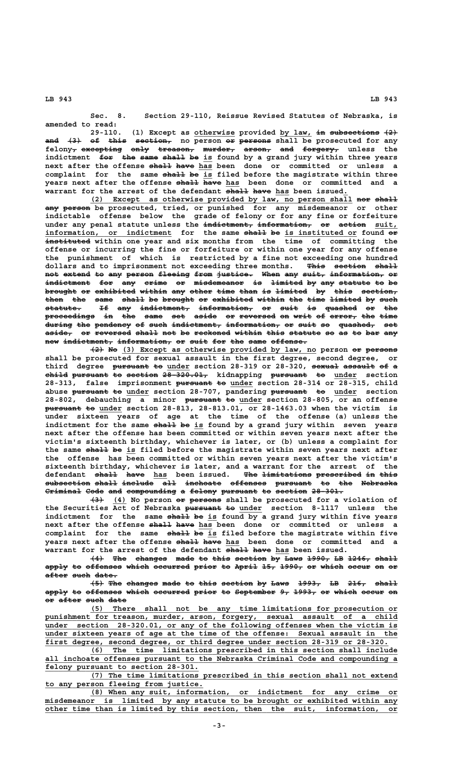**LB 943 LB 943**

**Sec. 8. Section 29-110, Reissue Revised Statutes of Nebraska, is amended to read:**

29-110. (1) Except as otherwise provided by law, in subsections  $\{2\}$ <del>and (3) of this section,</del> no person <del>or persons</del> shall be prosecuted for any felony<sub>7</sub> excepting only treason, murder, arson, and forgery, unless the indictment for the same shall be is found by a grand jury within three years next after the offense shall have has been done or committed or unless a complaint for the same shall be is filed before the magistrate within three **years next after the offense shall have has been done or committed and a ————— ———— \_\_\_** warrant for the arrest of the defendant <del>shall have</del> has been issued.

**(2) Except as otherwise provided by law, no person shall nor shall \_\_\_\_\_\_\_\_\_\_\_\_\_\_\_\_\_\_\_\_\_\_\_\_\_\_\_\_\_\_\_\_\_\_\_\_\_\_\_\_\_\_\_\_\_\_\_\_\_\_\_\_\_\_\_\_\_\_ ——— ————— ——— —————— any person be prosecuted, tried, or punished for any misdemeanor or other indictable offense below the grade of felony or for any fine or forfeiture** under any penal statute unless the indictment, information, or action suit, information, or indictment for the same <del>shall</del> be is instituted or found o<del>r</del>  **—————————— instituted within one year and six months from the time of committing the offense or incurring the fine or forfeiture or within one year for any offense the punishment of which is restricted by a fine not exceeding one hundred** dollars and to imprisonment not exceeding three months. <del>This section shall</del> not extend to any person fleeing from justice. When any suit, information, or indictment for any crime or misdemeanor is limited by any statute to be brought or exhibited within any other time than is limited by this section, then the same shall be brought or exhibited within the time limited by such  ${\tt state.}$  If any indictment, information, or suit is quashed or the proceedings in the same set aside or reversed on writ of error, the time  $\frac{1}{2}$  during the pendency of such indictment, information, or suit so quashed, set aside, or reversed shall not be reckoned within this statute so as to bar any  $new$  indictment, information, or suit for the same offense.

 $\frac{1}{2}$  No  $\frac{3}{5}$  Except as otherwise provided by law, no person or persons **shall be prosecuted for sexual assault in the first degree, second degree, or** third degree pursuant to under section 28-319 or 28-320, sexual assault of a **child pursuant to section 28-320.01, kidnapping pursuant to under section ————— ———————— —— ——————— —————————— ———————— —— \_\_\_\_\_** 28-313, false imprisonment <del>pursuant to</del> under section 28-314 or 28-315, child abuse <del>pursuant to</del> under section 28-707, pandering pursuant to under section 28-802, debauching a minor <del>pursuant to</del> under section 28-805, or an offense **pursuant to** under section 28-813, 28-813.01, or 28-1463.03 when the victim is **under sixteen years of age at the time of the offense (a) unless the** indictment for the same shall be is found by a grand jury within seven years **next after the offense has been committed or within seven years next after the victim's sixteenth birthday, whichever is later, or (b) unless a complaint for** the same shall be is filed before the magistrate within seven years next after **the offense has been committed or within seven years next after the victim's sixteenth birthday, whichever is later, and a warrant for the arrest of the** defendant shall have has been issued. The limitations prescribed in this **subsection shall include all inchoate offenses pursuant to the Nebraska —————————— ————— ——————— ——— ———————— ———————— ———————— —— ——— ———————— Criminal Code and compounding a felony pursuant to section 28-301. ———————— ———— ——— ——————————— — —————— ———————— —— ——————— ———————**

 **——— \_\_\_ —— ——————— (3) (4) No person or persons shall be prosecuted for a violation of** the Securities Act of Nebraska pursuant to under section 8-1117 unless the indictment for the same shall be is found by a grand jury within five years next after the offense shall have has been done or committed or unless a complaint for the same shall be is filed before the magistrate within five years next after the offense shall have has been done or committed and a **warrant for the arrest of the defendant**  $\overline{\text{eha11}}$  **have has been issued.** 

**(4) The changes made to this section by Laws 1990, LB 1246, shall ——— ——— ——————— ———— —— ———— ——————— —— ———— ————— —— ————— ————** apply to offenses which occurred prior to April 15, 1990, or which occur on or **after such date. ————— ———— —————**

**(5) The changes made to this section by Laws 1993, LB 216, shall ——— ——— ——————— ———— —— ———— ——————— —— ———— ————— —— ———— ————** apply to offenses which occurred prior to September 9, 1993, or which occur on **or after such date —— ————— ———— ————**

 **\_\_\_\_\_\_\_\_\_\_\_\_\_\_\_\_\_\_\_\_\_\_\_\_\_\_\_\_\_\_\_\_\_\_\_\_\_\_\_\_\_\_\_\_\_\_\_\_\_\_\_\_\_\_\_\_\_\_\_\_\_\_\_\_\_\_\_\_ (5) There shall not be any time limitations for prosecution or \_\_\_\_\_\_\_\_\_\_\_\_\_\_\_\_\_\_\_\_\_\_\_\_\_\_\_\_\_\_\_\_\_\_\_\_\_\_\_\_\_\_\_\_\_\_\_\_\_\_\_\_\_\_\_\_\_\_\_\_\_\_\_\_\_\_\_\_\_\_\_\_\_\_\_\_\_\_ punishment for treason, murder, arson, forgery, sexual assault of a child \_\_\_\_\_\_\_\_\_\_\_\_\_\_\_\_\_\_\_\_\_\_\_\_\_\_\_\_\_\_\_\_\_\_\_\_\_\_\_\_\_\_\_\_\_\_\_\_\_\_\_\_\_\_\_\_\_\_\_\_\_\_\_\_\_\_\_\_\_\_\_\_\_\_\_\_\_\_ under section 28-320.01, or any of the following offenses when the victim is \_\_\_\_\_\_\_\_\_\_\_\_\_\_\_\_\_\_\_\_\_\_\_\_\_\_\_\_\_\_\_\_\_\_\_\_\_\_\_\_\_\_\_\_\_\_\_\_\_\_\_\_\_\_\_\_\_\_\_\_\_\_\_\_\_\_\_\_\_\_\_\_\_\_\_\_\_\_ under sixteen years of age at the time of the offense: Sexual assault in the \_\_\_\_\_\_\_\_\_\_\_\_\_\_\_\_\_\_\_\_\_\_\_\_\_\_\_\_\_\_\_\_\_\_\_\_\_\_\_\_\_\_\_\_\_\_\_\_\_\_\_\_\_\_\_\_\_\_\_\_\_\_\_\_\_\_\_\_\_\_\_\_\_\_\_\_ first degree, second degree, or third degree under section 28-319 or 28-320.**

 **\_\_\_\_\_\_\_\_\_\_\_\_\_\_\_\_\_\_\_\_\_\_\_\_\_\_\_\_\_\_\_\_\_\_\_\_\_\_\_\_\_\_\_\_\_\_\_\_\_\_\_\_\_\_\_\_\_\_\_\_\_\_\_\_\_\_\_\_ (6) The time limitations prescribed in this section shall include \_\_\_\_\_\_\_\_\_\_\_\_\_\_\_\_\_\_\_\_\_\_\_\_\_\_\_\_\_\_\_\_\_\_\_\_\_\_\_\_\_\_\_\_\_\_\_\_\_\_\_\_\_\_\_\_\_\_\_\_\_\_\_\_\_\_\_\_\_\_\_\_\_\_\_\_\_\_ all inchoate offenses pursuant to the Nebraska Criminal Code and compounding a \_\_\_\_\_\_\_\_\_\_\_\_\_\_\_\_\_\_\_\_\_\_\_\_\_\_\_\_\_\_\_\_\_\_ felony pursuant to section 28-301.**

 **\_\_\_\_\_\_\_\_\_\_\_\_\_\_\_\_\_\_\_\_\_\_\_\_\_\_\_\_\_\_\_\_\_\_\_\_\_\_\_\_\_\_\_\_\_\_\_\_\_\_\_\_\_\_\_\_\_\_\_\_\_\_\_\_\_\_\_\_ (7) The time limitations prescribed in this section shall not extend \_\_\_\_\_\_\_\_\_\_\_\_\_\_\_\_\_\_\_\_\_\_\_\_\_\_\_\_\_\_\_\_\_\_\_ to any person fleeing from justice.**

 **\_\_\_\_\_\_\_\_\_\_\_\_\_\_\_\_\_\_\_\_\_\_\_\_\_\_\_\_\_\_\_\_\_\_\_\_\_\_\_\_\_\_\_\_\_\_\_\_\_\_\_\_\_\_\_\_\_\_\_\_\_\_\_\_\_\_\_\_ (8) When any suit, information, or indictment for any crime or \_\_\_\_\_\_\_\_\_\_\_\_\_\_\_\_\_\_\_\_\_\_\_\_\_\_\_\_\_\_\_\_\_\_\_\_\_\_\_\_\_\_\_\_\_\_\_\_\_\_\_\_\_\_\_\_\_\_\_\_\_\_\_\_\_\_\_\_\_\_\_\_\_\_\_\_\_\_ misdemeanor is limited by any statute to be brought or exhibited within any \_\_\_\_\_\_\_\_\_\_\_\_\_\_\_\_\_\_\_\_\_\_\_\_\_\_\_\_\_\_\_\_\_\_\_\_\_\_\_\_\_\_\_\_\_\_\_\_\_\_\_\_\_\_\_\_\_\_\_\_\_\_\_\_\_\_\_\_\_\_\_\_\_\_\_\_\_\_ other time than is limited by this section, then the suit, information, or**